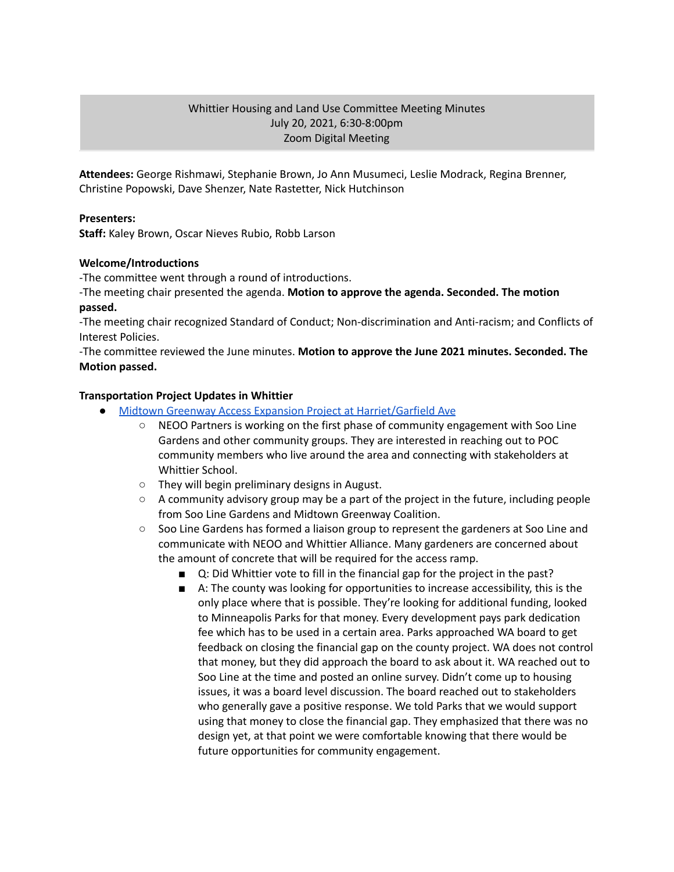## Whittier Housing and Land Use Committee Meeting Minutes July 20, 2021, 6:30-8:00pm Zoom Digital Meeting

**Attendees:** George Rishmawi, Stephanie Brown, Jo Ann Musumeci, Leslie Modrack, Regina Brenner, Christine Popowski, Dave Shenzer, Nate Rastetter, Nick Hutchinson

### **Presenters:**

**Staff:** Kaley Brown, Oscar Nieves Rubio, Robb Larson

### **Welcome/Introductions**

-The committee went through a round of introductions.

-The meeting chair presented the agenda. **Motion to approve the agenda. Seconded. The motion passed.**

-The meeting chair recognized Standard of Conduct; Non-discrimination and Anti-racism; and Conflicts of Interest Policies.

-The committee reviewed the June minutes. **Motion to approve the June 2021 minutes. Seconded. The Motion passed.**

### **Transportation Project Updates in Whittier**

- Midtown Greenway Access Expansion Project at [Harriet/Garfield](https://www.hennepin.us/midtown-greenway-access) Ave
	- NEOO Partners is working on the first phase of community engagement with Soo Line Gardens and other community groups. They are interested in reaching out to POC community members who live around the area and connecting with stakeholders at Whittier School.
	- They will begin preliminary designs in August.
	- $\circ$  A community advisory group may be a part of the project in the future, including people from Soo Line Gardens and Midtown Greenway Coalition.
	- Soo Line Gardens has formed a liaison group to represent the gardeners at Soo Line and communicate with NEOO and Whittier Alliance. Many gardeners are concerned about the amount of concrete that will be required for the access ramp.
		- Q: Did Whittier vote to fill in the financial gap for the project in the past?
		- A: The county was looking for opportunities to increase accessibility, this is the only place where that is possible. They're looking for additional funding, looked to Minneapolis Parks for that money. Every development pays park dedication fee which has to be used in a certain area. Parks approached WA board to get feedback on closing the financial gap on the county project. WA does not control that money, but they did approach the board to ask about it. WA reached out to Soo Line at the time and posted an online survey. Didn't come up to housing issues, it was a board level discussion. The board reached out to stakeholders who generally gave a positive response. We told Parks that we would support using that money to close the financial gap. They emphasized that there was no design yet, at that point we were comfortable knowing that there would be future opportunities for community engagement.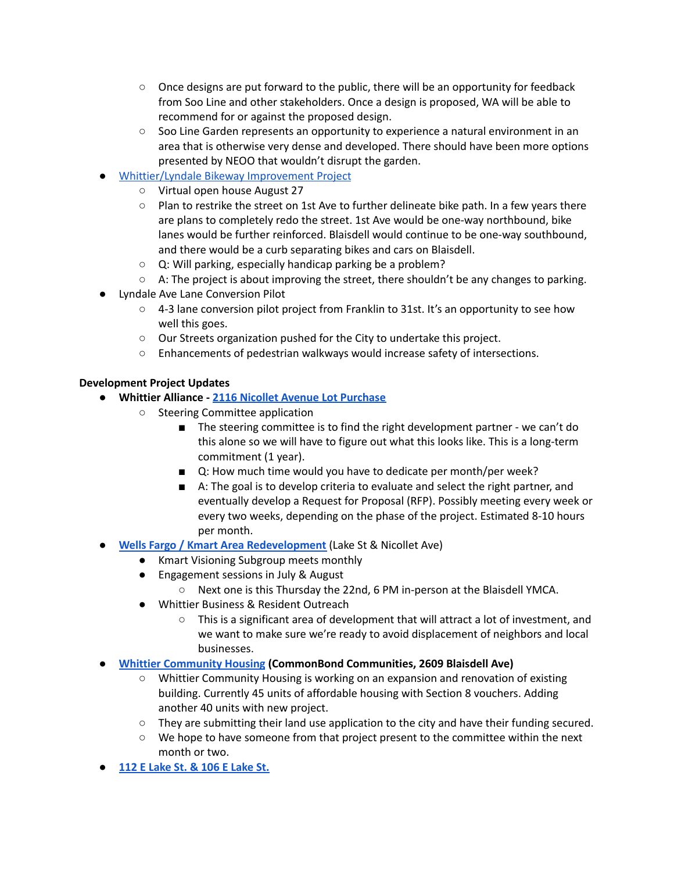- $\circ$  Once designs are put forward to the public, there will be an opportunity for feedback from Soo Line and other stakeholders. Once a design is proposed, WA will be able to recommend for or against the proposed design.
- Soo Line Garden represents an opportunity to experience a natural environment in an area that is otherwise very dense and developed. There should have been more options presented by NEOO that wouldn't disrupt the garden.
- [Whittier/Lyndale](https://www.minneapolismn.gov/government/projects/whittier-lyndale-bikeway/) Bikeway Improvement Project
	- Virtual open house August 27
	- Plan to restrike the street on 1st Ave to further delineate bike path. In a few years there are plans to completely redo the street. 1st Ave would be one-way northbound, bike lanes would be further reinforced. Blaisdell would continue to be one-way southbound, and there would be a curb separating bikes and cars on Blaisdell.
	- Q: Will parking, especially handicap parking be a problem?
	- $\circ$  A: The project is about improving the street, there shouldn't be any changes to parking.
- **Lyndale Ave Lane Conversion Pilot** 
	- 4-3 lane conversion pilot project from Franklin to 31st. It's an opportunity to see how well this goes.
	- Our Streets organization pushed for the City to undertake this project.
	- Enhancements of pedestrian walkways would increase safety of intersections.

## **Development Project Updates**

- **● Whittier Alliance - 2116 Nicollet Avenue Lot [Purchase](https://www.whittieralliance.org/2116-nicollet-ave-vacant-lot.html)**
	- Steering Committee application
		- The steering committee is to find the right development partner we can't do this alone so we will have to figure out what this looks like. This is a long-term commitment (1 year).
		- Q: How much time would you have to dedicate per month/per week?
		- A: The goal is to develop criteria to evaluate and select the right partner, and eventually develop a Request for Proposal (RFP). Possibly meeting every week or every two weeks, depending on the phase of the project. Estimated 8-10 hours per month.
- **Wells Fargo / Kmart Area [Redevelopment](https://www.lakeandnicollet.com/)** (Lake St & Nicollet Ave)
	- Kmart Visioning Subgroup meets monthly
	- Engagement sessions in July & August
		- Next one is this Thursday the 22nd, 6 PM in-person at the Blaisdell YMCA.
	- Whittier Business & Resident Outreach
		- This is a significant area of development that will attract a lot of investment, and we want to make sure we're ready to avoid displacement of neighbors and local businesses.
- **● Whittier [Community](https://www.whittieralliance.org/development-tracker.html) Housing (CommonBond Communities, 2609 Blaisdell Ave)**
	- Whittier Community Housing is working on an expansion and renovation of existing building. Currently 45 units of affordable housing with Section 8 vouchers. Adding another 40 units with new project.
	- $\circ$  They are submitting their land use application to the city and have their funding secured.
	- We hope to have someone from that project present to the committee within the next month or two.
- **● 112 E [Lake](https://www.whittieralliance.org/development-tracker.html) St. & 106 E Lake St.**